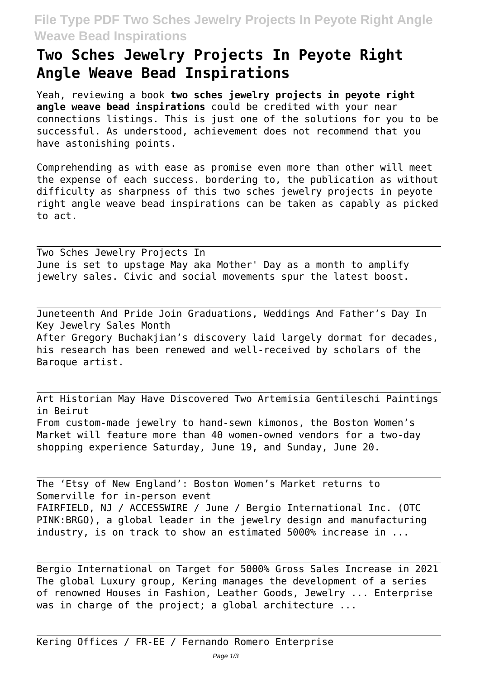## **File Type PDF Two Sches Jewelry Projects In Peyote Right Angle Weave Bead Inspirations**

## **Two Sches Jewelry Projects In Peyote Right Angle Weave Bead Inspirations**

Yeah, reviewing a book **two sches jewelry projects in peyote right angle weave bead inspirations** could be credited with your near connections listings. This is just one of the solutions for you to be successful. As understood, achievement does not recommend that you have astonishing points.

Comprehending as with ease as promise even more than other will meet the expense of each success. bordering to, the publication as without difficulty as sharpness of this two sches jewelry projects in peyote right angle weave bead inspirations can be taken as capably as picked to act.

Two Sches Jewelry Projects In June is set to upstage May aka Mother' Day as a month to amplify jewelry sales. Civic and social movements spur the latest boost.

Juneteenth And Pride Join Graduations, Weddings And Father's Day In Key Jewelry Sales Month After Gregory Buchakjian's discovery laid largely dormat for decades, his research has been renewed and well-received by scholars of the Baroque artist.

Art Historian May Have Discovered Two Artemisia Gentileschi Paintings in Beirut From custom-made jewelry to hand-sewn kimonos, the Boston Women's Market will feature more than 40 women-owned vendors for a two-day shopping experience Saturday, June 19, and Sunday, June 20.

The 'Etsy of New England': Boston Women's Market returns to Somerville for in-person event FAIRFIELD, NJ / ACCESSWIRE / June / Bergio International Inc. (OTC PINK:BRGO), a global leader in the jewelry design and manufacturing industry, is on track to show an estimated 5000% increase in ...

Bergio International on Target for 5000% Gross Sales Increase in 2021 The global Luxury group, Kering manages the development of a series of renowned Houses in Fashion, Leather Goods, Jewelry ... Enterprise was in charge of the project; a global architecture ...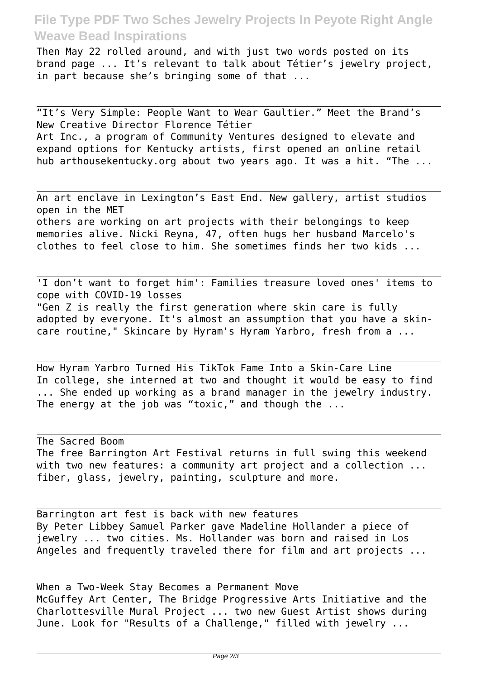## **File Type PDF Two Sches Jewelry Projects In Peyote Right Angle Weave Bead Inspirations**

Then May 22 rolled around, and with just two words posted on its brand page ... It's relevant to talk about Tétier's jewelry project, in part because she's bringing some of that ...

"It's Very Simple: People Want to Wear Gaultier." Meet the Brand's New Creative Director Florence Tétier Art Inc., a program of Community Ventures designed to elevate and expand options for Kentucky artists, first opened an online retail hub arthousekentucky.org about two years ago. It was a hit. "The ...

An art enclave in Lexington's East End. New gallery, artist studios open in the MET others are working on art projects with their belongings to keep memories alive. Nicki Reyna, 47, often hugs her husband Marcelo's clothes to feel close to him. She sometimes finds her two kids ...

'I don't want to forget him': Families treasure loved ones' items to cope with COVID-19 losses "Gen Z is really the first generation where skin care is fully adopted by everyone. It's almost an assumption that you have a skincare routine," Skincare by Hyram's Hyram Yarbro, fresh from a ...

How Hyram Yarbro Turned His TikTok Fame Into a Skin-Care Line In college, she interned at two and thought it would be easy to find ... She ended up working as a brand manager in the jewelry industry. The energy at the job was "toxic," and though the ...

The Sacred Boom The free Barrington Art Festival returns in full swing this weekend with two new features: a community art project and a collection ... fiber, glass, jewelry, painting, sculpture and more.

Barrington art fest is back with new features By Peter Libbey Samuel Parker gave Madeline Hollander a piece of jewelry ... two cities. Ms. Hollander was born and raised in Los Angeles and frequently traveled there for film and art projects ...

When a Two-Week Stay Becomes a Permanent Move McGuffey Art Center, The Bridge Progressive Arts Initiative and the Charlottesville Mural Project ... two new Guest Artist shows during June. Look for "Results of a Challenge," filled with jewelry ...